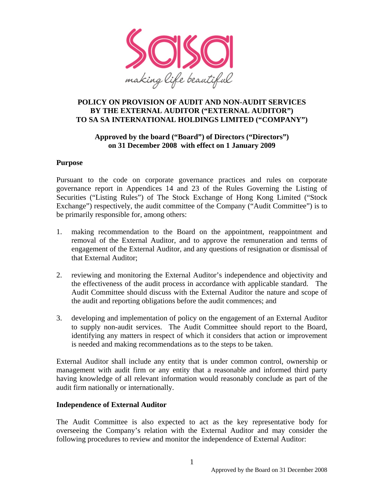

#### **POLICY ON PROVISION OF AUDIT AND NON-AUDIT SERVICES BY THE EXTERNAL AUDITOR ("EXTERNAL AUDITOR") TO SA SA INTERNATIONAL HOLDINGS LIMITED ("COMPANY")**

#### **Approved by the board ("Board") of Directors ("Directors") on 31 December 2008 with effect on 1 January 2009**

#### **Purpose**

Pursuant to the code on corporate governance practices and rules on corporate governance report in Appendices 14 and 23 of the Rules Governing the Listing of Securities ("Listing Rules") of The Stock Exchange of Hong Kong Limited ("Stock Exchange") respectively, the audit committee of the Company ("Audit Committee") is to be primarily responsible for, among others:

- 1. making recommendation to the Board on the appointment, reappointment and removal of the External Auditor, and to approve the remuneration and terms of engagement of the External Auditor, and any questions of resignation or dismissal of that External Auditor;
- 2. reviewing and monitoring the External Auditor's independence and objectivity and the effectiveness of the audit process in accordance with applicable standard. The Audit Committee should discuss with the External Auditor the nature and scope of the audit and reporting obligations before the audit commences; and
- 3. developing and implementation of policy on the engagement of an External Auditor to supply non-audit services. The Audit Committee should report to the Board, identifying any matters in respect of which it considers that action or improvement is needed and making recommendations as to the steps to be taken.

External Auditor shall include any entity that is under common control, ownership or management with audit firm or any entity that a reasonable and informed third party having knowledge of all relevant information would reasonably conclude as part of the audit firm nationally or internationally.

#### **Independence of External Auditor**

The Audit Committee is also expected to act as the key representative body for overseeing the Company's relation with the External Auditor and may consider the following procedures to review and monitor the independence of External Auditor: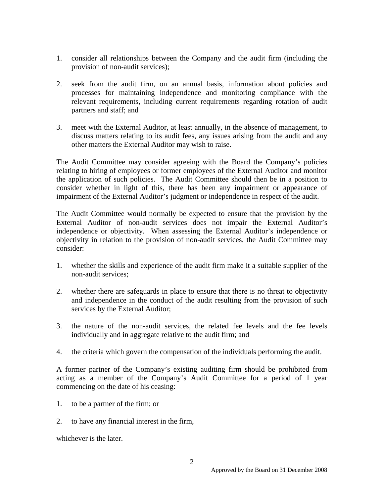- 1. consider all relationships between the Company and the audit firm (including the provision of non-audit services);
- 2. seek from the audit firm, on an annual basis, information about policies and processes for maintaining independence and monitoring compliance with the relevant requirements, including current requirements regarding rotation of audit partners and staff; and
- 3. meet with the External Auditor, at least annually, in the absence of management, to discuss matters relating to its audit fees, any issues arising from the audit and any other matters the External Auditor may wish to raise.

The Audit Committee may consider agreeing with the Board the Company's policies relating to hiring of employees or former employees of the External Auditor and monitor the application of such policies. The Audit Committee should then be in a position to consider whether in light of this, there has been any impairment or appearance of impairment of the External Auditor's judgment or independence in respect of the audit.

The Audit Committee would normally be expected to ensure that the provision by the External Auditor of non-audit services does not impair the External Auditor's independence or objectivity. When assessing the External Auditor's independence or objectivity in relation to the provision of non-audit services, the Audit Committee may consider:

- 1. whether the skills and experience of the audit firm make it a suitable supplier of the non-audit services;
- 2. whether there are safeguards in place to ensure that there is no threat to objectivity and independence in the conduct of the audit resulting from the provision of such services by the External Auditor;
- 3. the nature of the non-audit services, the related fee levels and the fee levels individually and in aggregate relative to the audit firm; and
- 4. the criteria which govern the compensation of the individuals performing the audit.

A former partner of the Company's existing auditing firm should be prohibited from acting as a member of the Company's Audit Committee for a period of 1 year commencing on the date of his ceasing:

- 1. to be a partner of the firm; or
- 2. to have any financial interest in the firm,

whichever is the later.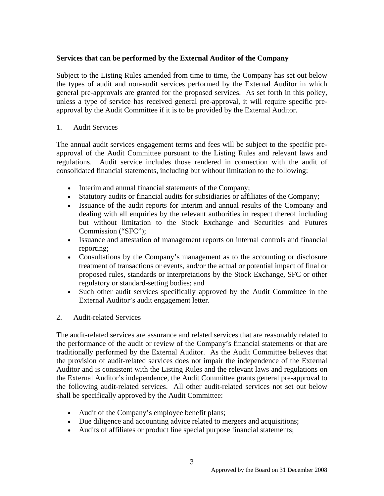#### **Services that can be performed by the External Auditor of the Company**

Subject to the Listing Rules amended from time to time, the Company has set out below the types of audit and non-audit services performed by the External Auditor in which general pre-approvals are granted for the proposed services. As set forth in this policy, unless a type of service has received general pre-approval, it will require specific preapproval by the Audit Committee if it is to be provided by the External Auditor.

#### 1. Audit Services

The annual audit services engagement terms and fees will be subject to the specific preapproval of the Audit Committee pursuant to the Listing Rules and relevant laws and regulations. Audit service includes those rendered in connection with the audit of consolidated financial statements, including but without limitation to the following:

- Interim and annual financial statements of the Company;
- Statutory audits or financial audits for subsidiaries or affiliates of the Company;
- Issuance of the audit reports for interim and annual results of the Company and dealing with all enquiries by the relevant authorities in respect thereof including but without limitation to the Stock Exchange and Securities and Futures Commission ("SFC");
- Issuance and attestation of management reports on internal controls and financial reporting;
- Consultations by the Company's management as to the accounting or disclosure treatment of transactions or events, and/or the actual or potential impact of final or proposed rules, standards or interpretations by the Stock Exchange, SFC or other regulatory or standard-setting bodies; and
- Such other audit services specifically approved by the Audit Committee in the External Auditor's audit engagement letter.
- 2. Audit-related Services

The audit-related services are assurance and related services that are reasonably related to the performance of the audit or review of the Company's financial statements or that are traditionally performed by the External Auditor. As the Audit Committee believes that the provision of audit-related services does not impair the independence of the External Auditor and is consistent with the Listing Rules and the relevant laws and regulations on the External Auditor's independence, the Audit Committee grants general pre-approval to the following audit-related services. All other audit-related services not set out below shall be specifically approved by the Audit Committee:

- Audit of the Company's employee benefit plans;
- Due diligence and accounting advice related to mergers and acquisitions;
- Audits of affiliates or product line special purpose financial statements;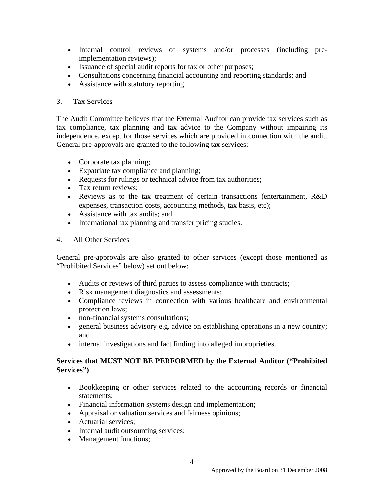- Internal control reviews of systems and/or processes (including preimplementation reviews);
- Issuance of special audit reports for tax or other purposes;
- Consultations concerning financial accounting and reporting standards; and
- Assistance with statutory reporting.

#### 3. Tax Services

The Audit Committee believes that the External Auditor can provide tax services such as tax compliance, tax planning and tax advice to the Company without impairing its independence, except for those services which are provided in connection with the audit. General pre-approvals are granted to the following tax services:

- Corporate tax planning;
- Expatriate tax compliance and planning;
- Requests for rulings or technical advice from tax authorities;
- Tax return reviews:
- Reviews as to the tax treatment of certain transactions (entertainment, R&D expenses, transaction costs, accounting methods, tax basis, etc);
- Assistance with tax audits; and
- International tax planning and transfer pricing studies.
- 4. All Other Services

General pre-approvals are also granted to other services (except those mentioned as "Prohibited Services" below) set out below:

- Audits or reviews of third parties to assess compliance with contracts;
- Risk management diagnostics and assessments;
- Compliance reviews in connection with various healthcare and environmental protection laws;
- non-financial systems consultations;
- general business advisory e.g. advice on establishing operations in a new country; and
- internal investigations and fact finding into alleged improprieties.

#### **Services that MUST NOT BE PERFORMED by the External Auditor ("Prohibited Services")**

- Bookkeeping or other services related to the accounting records or financial statements;
- Financial information systems design and implementation;
- Appraisal or valuation services and fairness opinions;
- Actuarial services;
- Internal audit outsourcing services;
- Management functions;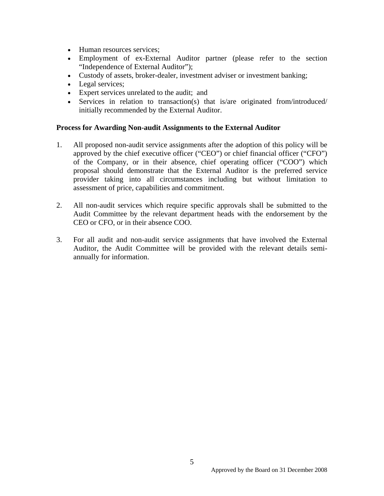- Human resources services;
- Employment of ex-External Auditor partner (please refer to the section "Independence of External Auditor");
- Custody of assets, broker-dealer, investment adviser or investment banking;
- Legal services;
- Expert services unrelated to the audit; and
- Services in relation to transaction(s) that is/are originated from/introduced/ initially recommended by the External Auditor.

#### **Process for Awarding Non-audit Assignments to the External Auditor**

- 1. All proposed non-audit service assignments after the adoption of this policy will be approved by the chief executive officer ("CEO") or chief financial officer ("CFO") of the Company, or in their absence, chief operating officer ("COO") which proposal should demonstrate that the External Auditor is the preferred service provider taking into all circumstances including but without limitation to assessment of price, capabilities and commitment.
- 2. All non-audit services which require specific approvals shall be submitted to the Audit Committee by the relevant department heads with the endorsement by the CEO or CFO, or in their absence COO.
- 3. For all audit and non-audit service assignments that have involved the External Auditor, the Audit Committee will be provided with the relevant details semiannually for information.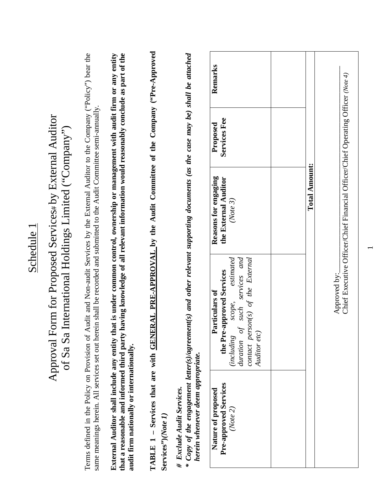|                                                                      |                                                                                                                                                                                                                                                                |                                                                                                                                                                             |                                                                                                                   |                                                                                                                                | Remarks                                                                                                                                                                      |               |                                                                                  |
|----------------------------------------------------------------------|----------------------------------------------------------------------------------------------------------------------------------------------------------------------------------------------------------------------------------------------------------------|-----------------------------------------------------------------------------------------------------------------------------------------------------------------------------|-------------------------------------------------------------------------------------------------------------------|--------------------------------------------------------------------------------------------------------------------------------|------------------------------------------------------------------------------------------------------------------------------------------------------------------------------|---------------|----------------------------------------------------------------------------------|
|                                                                      |                                                                                                                                                                                                                                                                |                                                                                                                                                                             |                                                                                                                   |                                                                                                                                | Services Fee<br>Proposed                                                                                                                                                     |               |                                                                                  |
| International Holdings Limited ("Company")                           |                                                                                                                                                                                                                                                                | having knowledge of all relevant information would reasonably conclude as part of the<br>aat is under common control, ownership or management with audit firm or any entity |                                                                                                                   |                                                                                                                                | Reasons for engaging<br>the External Auditor<br>(Note 3)                                                                                                                     | Total Amount: | Chief Executive Officer/Chief Financial Officer/Chief Operating Officer (Note 4) |
| Approval Form for Proposed Services# by External Auditor<br>of Sa Sa | Terms defined in the Policy on Provision of Audit and Non-audit Services by the External Auditor to the Company ("Policy") bear the<br>same meanings herein. All services set out herein shall be recorded and submitted to the Audit Committee semi-annually. |                                                                                                                                                                             | TABLE 1 - Services that are with <b>GENERAL PRE-APPROVAL</b> by the Audit Committee of the Company ("Pre-Approved | * Copy of the engagement letter(s)/agreement(s) and other relevant supporting documents (as the case may be) shall be attached | services and<br>estimated<br>contact person(s) of the External<br>the Pre-approved Services<br>Particulars of<br>scope,<br>such<br>duration of<br>Auditor etc)<br>(including |               | Approved by:                                                                     |
|                                                                      |                                                                                                                                                                                                                                                                | External Auditor shall include any entity the<br>that a reasonable and informed third party<br>audit firm nationally or internationally.                                    | Services")(Note 1,                                                                                                | herein whenever deem appropriate.<br># Exclude Audit Services.                                                                 | <b>Pre-approved Services</b><br>Nature of proposed<br>(Note 2)                                                                                                               |               |                                                                                  |

Schedule<sub>1</sub> Schedule 1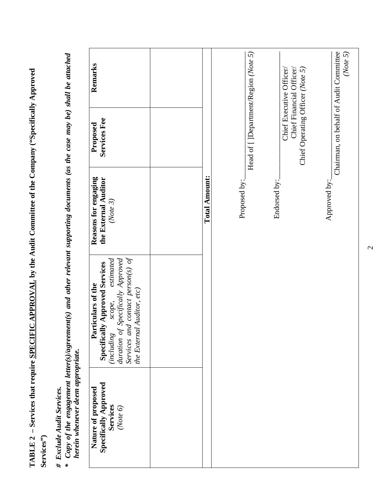**TABLE 2 – Services that require SPECIFIC APPROVAL by the Audit Committee of the Company ("Specifically Approved**  TABLE 2 - Services that require SPECIFIC APPROVAL by the Audit Committee of the Company ("Specifically Approved **Services")**  Services")

## *# Exclude Audit Services.*

# Exclude Audit Services.<br>\* Copy of the engagement letter(s)/agreement(s) and other relevant supporting documents (as the case may be) shall be attached *\* Copy of the engagement letter(s)/agreement(s) and other relevant supporting documents (as the case may be) shall be attached* herein whenever deem appropriate. *herein whenever deem appropriate.* 

| Remarks                                                                                                                                                                                           |                      |                                       |              | Chief Financial Officer/<br>Chief Executive Officer/ | (Note 5)                               |
|---------------------------------------------------------------------------------------------------------------------------------------------------------------------------------------------------|----------------------|---------------------------------------|--------------|------------------------------------------------------|----------------------------------------|
| Services Fee<br>Proposed                                                                                                                                                                          |                      | Head of [ ]Department/Region (Note 5) |              | Chief Operating Officer (Note 5)                     | Chairman, on behalf of Audit Committee |
| Reasons for engaging<br>the External Auditor<br>(Note 3)                                                                                                                                          | <b>Total Amount:</b> | Proposed by:                          | Endorsed by: |                                                      | Approved by:                           |
| Services and contact person(s) of<br>duration of Specifically Approved<br>estimated<br>Specifically Approved Services<br>Particulars of the<br>the External Auditor, etc)<br>scope,<br>(including |                      |                                       |              |                                                      |                                        |
| <b>Specifically Approved</b><br>Nature of proposed<br>Services<br>(Note 6)                                                                                                                        |                      |                                       |              |                                                      |                                        |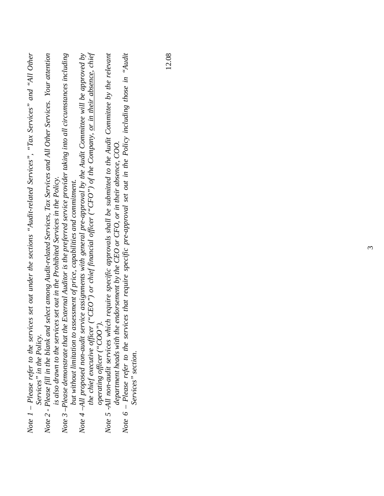| Note $1$ – Please refer to the services set out under the sections "Audit-related Services", "Tax Services" and "All Other                                 |
|------------------------------------------------------------------------------------------------------------------------------------------------------------|
| Note 2 - Please fill in the blank and select among Audit-related Services, Tax Services and All Other Services. Your attention<br>Services" in the Policy. |
| is also drawn to the services set out in the Prohibited Services in the Policy.                                                                            |
| Note 3 –Please demonstrate that the External Auditor is the preferred service provider taking into all circumstances including                             |
| but without limitation to assessment of price, capabilities and commitment.                                                                                |
| Note 4–All proposed non-audit service assignments with general pre-approval by the Audit Committee will be approved by                                     |
| the chief executive officer ("CEO") or chief financial officer ("CFO") of the Company, or in their absence, chief                                          |
| operating officer (" $COO$ ",                                                                                                                              |
| Note 5 -All non-audit services which require specific approvals shall be submitted to the Audit Committee by the relevant                                  |
| department heads with the endorsement by the CEO or CFO, or in their absence, COO.                                                                         |
| Note $6$ – Please refer to the services that require specific pre-approval set out in the Policy including those in "Audit                                 |
| Services" section.                                                                                                                                         |
|                                                                                                                                                            |
|                                                                                                                                                            |
|                                                                                                                                                            |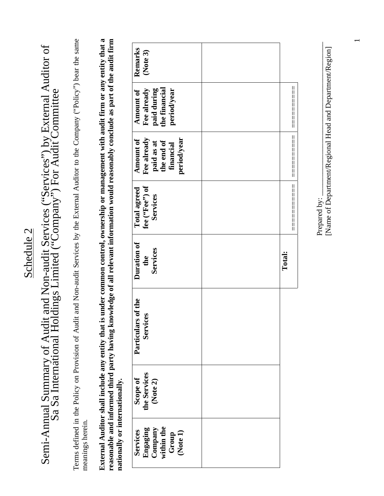### Schedule 2 Schedule 2

# Semi-Annual Summary of Audit and Non-audit Services ("Services") by External Auditor of Sa Sa International Holdings Limited ("Company") For Audit Committee Semi-Annual Summary of Audit and Non-audit Services ("Services") by External Auditor of<br>Sa Sa International Holdings Limited ("Company") For Audit Committee

Terms defined in the Policy on Provision of Audit and Non-audit Services by the External Auditor to the Company ("Policy") bear the same Terms defined in the Policy on Provision of Audit and Non-audit Services by the External Auditor to the Company ("Policy") bear the same meanings herein. meanings herein.

**External Auditor shall include any entity that is under common control, ownership or management with audit firm or any entity that a reasonable and informed third party having knowledge of all relevant information would reasonably conclude as part of the audit firm**  External Auditor shall include any entity that is under common control, ownership or management with audit firm or any entity that a reasonable and informed third party having knowledge of all relevant information would reasonably conclude as part of the audit firm nationally or internationally. **nationally or internationally.**

| Remarks<br>(Note 3)                                                              |        |
|----------------------------------------------------------------------------------|--------|
| Amount of<br>Fee already<br>paid during<br>the financial<br>period/year          |        |
| Amount of<br>Fee already<br>period/year<br>paid as at<br>the end of<br>financial |        |
| fee (''Fee'') of<br><b>Total agreed</b><br>Services                              |        |
| Duration of<br>Services<br>the                                                   | Total: |
| Particulars of the<br><b>Services</b>                                            |        |
| Scope of<br>the Services<br>(Note 2)                                             |        |
| Engaging<br>Company<br>within the<br>Group<br>Group<br>(Note 1)<br>Services      |        |

Prepared by: [Name of Department/Regional Head and Department/Region] [Name of Department/Regional Head and Department/Region] Prepared by:

=========== ========== ==========